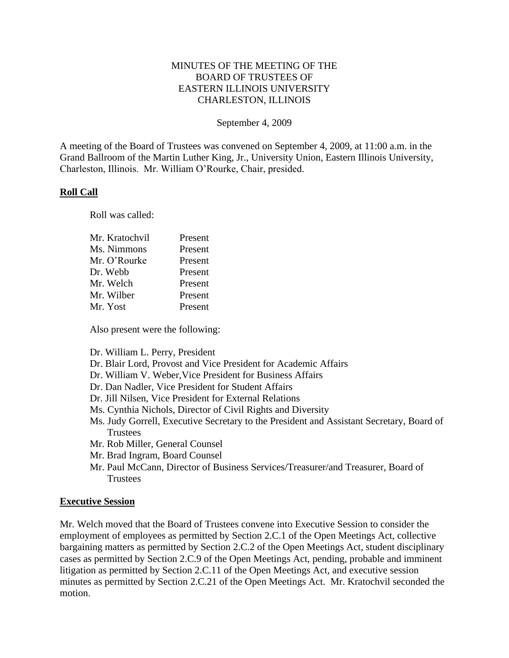# MINUTES OF THE MEETING OF THE BOARD OF TRUSTEES OF EASTERN ILLINOIS UNIVERSITY CHARLESTON, ILLINOIS

#### September 4, 2009

A meeting of the Board of Trustees was convened on September 4, 2009, at 11:00 a.m. in the Grand Ballroom of the Martin Luther King, Jr., University Union, Eastern Illinois University, Charleston, Illinois. Mr. William O'Rourke, Chair, presided.

## **Roll Call**

Roll was called:

| Mr. Kratochvil | Present |
|----------------|---------|
| Ms. Nimmons    | Present |
| Mr. O'Rourke   | Present |
| Dr. Webb       | Present |
| Mr. Welch      | Present |
| Mr. Wilber     | Present |
| Mr. Yost       | Present |
|                |         |

Also present were the following:

Dr. William L. Perry, President

- Dr. Blair Lord, Provost and Vice President for Academic Affairs
- Dr. William V. Weber,Vice President for Business Affairs
- Dr. Dan Nadler, Vice President for Student Affairs
- Dr. Jill Nilsen, Vice President for External Relations
- Ms. Cynthia Nichols, Director of Civil Rights and Diversity
- Ms. Judy Gorrell, Executive Secretary to the President and Assistant Secretary, Board of Trustees
- Mr. Rob Miller, General Counsel
- Mr. Brad Ingram, Board Counsel
- Mr. Paul McCann, Director of Business Services/Treasurer/and Treasurer, Board of **Trustees**

#### **Executive Session**

Mr. Welch moved that the Board of Trustees convene into Executive Session to consider the employment of employees as permitted by Section 2.C.1 of the Open Meetings Act, collective bargaining matters as permitted by Section 2.C.2 of the Open Meetings Act, student disciplinary cases as permitted by Section 2.C.9 of the Open Meetings Act, pending, probable and imminent litigation as permitted by Section 2.C.11 of the Open Meetings Act, and executive session minutes as permitted by Section 2.C.21 of the Open Meetings Act. Mr. Kratochvil seconded the motion.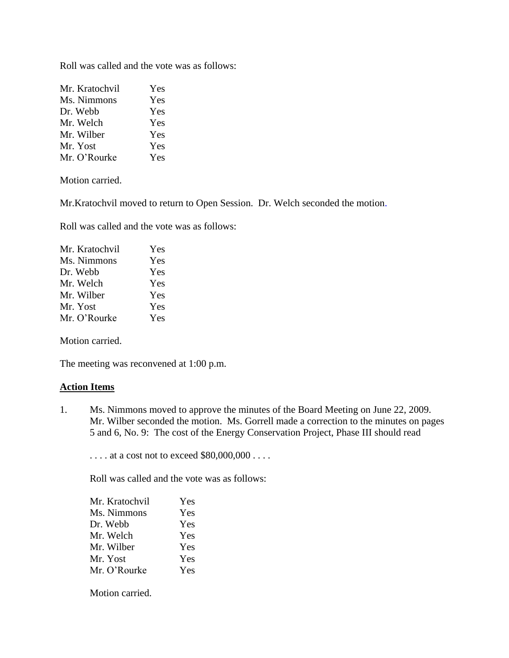Roll was called and the vote was as follows:

| Mr. Kratochvil | Yes |
|----------------|-----|
| Ms. Nimmons    | Yes |
| Dr. Webb       | Yes |
| Mr. Welch      | Yes |
| Mr. Wilber     | Yes |
| Mr. Yost       | Yes |
| Mr. O'Rourke   | Yes |

Motion carried.

Mr.Kratochvil moved to return to Open Session. Dr. Welch seconded the motion.

Roll was called and the vote was as follows:

| Yes |
|-----|
| Yes |
| Yes |
| Yes |
| Yes |
| Yes |
| Yes |
|     |

Motion carried.

The meeting was reconvened at 1:00 p.m.

## **Action Items**

1. Ms. Nimmons moved to approve the minutes of the Board Meeting on June 22, 2009. Mr. Wilber seconded the motion. Ms. Gorrell made a correction to the minutes on pages 5 and 6, No. 9: The cost of the Energy Conservation Project, Phase III should read

. . . . at a cost not to exceed \$80,000,000 . . . .

Roll was called and the vote was as follows:

| Mr. Kratochvil | <b>Yes</b> |
|----------------|------------|
| Ms. Nimmons    | <b>Yes</b> |
| Dr. Webb       | Yes        |
| Mr. Welch      | <b>Yes</b> |
| Mr. Wilber     | Yes        |
| Mr. Yost       | <b>Yes</b> |
| Mr. O'Rourke   | <b>Yes</b> |
|                |            |

Motion carried.